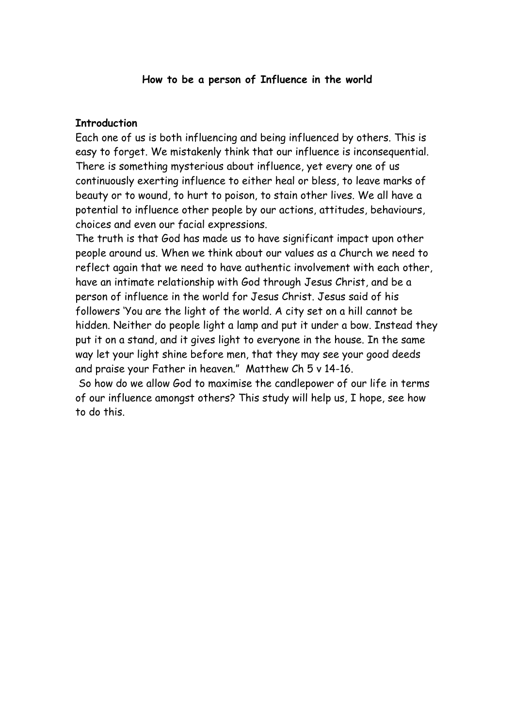#### **How to be a person of Influence in the world**

#### **Introduction**

Each one of us is both influencing and being influenced by others. This is easy to forget. We mistakenly think that our influence is inconsequential. There is something mysterious about influence, yet every one of us continuously exerting influence to either heal or bless, to leave marks of beauty or to wound, to hurt to poison, to stain other lives. We all have a potential to influence other people by our actions, attitudes, behaviours, choices and even our facial expressions.

The truth is that God has made us to have significant impact upon other people around us. When we think about our values as a Church we need to reflect again that we need to have authentic involvement with each other, have an intimate relationship with God through Jesus Christ, and be a person of influence in the world for Jesus Christ. Jesus said of his followers 'You are the light of the world. A city set on a hill cannot be hidden. Neither do people light a lamp and put it under a bow. Instead they put it on a stand, and it gives light to everyone in the house. In the same way let your light shine before men, that they may see your good deeds and praise your Father in heaven." Matthew Ch 5 v 14-16.

 So how do we allow God to maximise the candlepower of our life in terms of our influence amongst others? This study will help us, I hope, see how to do this.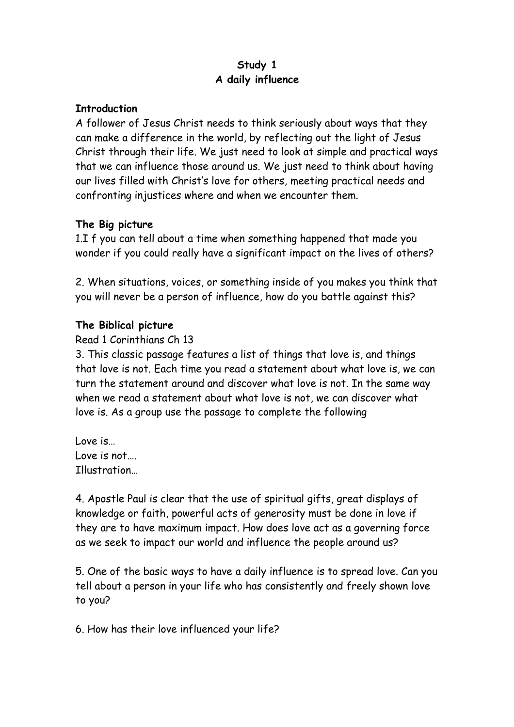# **Study 1 A daily influence**

#### **Introduction**

A follower of Jesus Christ needs to think seriously about ways that they can make a difference in the world, by reflecting out the light of Jesus Christ through their life. We just need to look at simple and practical ways that we can influence those around us. We just need to think about having our lives filled with Christ's love for others, meeting practical needs and confronting injustices where and when we encounter them.

### **The Big picture**

1.I f you can tell about a time when something happened that made you wonder if you could really have a significant impact on the lives of others?

2. When situations, voices, or something inside of you makes you think that you will never be a person of influence, how do you battle against this?

### **The Biblical picture**

### Read 1 Corinthians Ch 13

3. This classic passage features a list of things that love is, and things that love is not. Each time you read a statement about what love is, we can turn the statement around and discover what love is not. In the same way when we read a statement about what love is not, we can discover what love is. As a group use the passage to complete the following

Love is… Love is not…. Illustration…

4. Apostle Paul is clear that the use of spiritual gifts, great displays of knowledge or faith, powerful acts of generosity must be done in love if they are to have maximum impact. How does love act as a governing force as we seek to impact our world and influence the people around us?

5. One of the basic ways to have a daily influence is to spread love. Can you tell about a person in your life who has consistently and freely shown love to you?

6. How has their love influenced your life?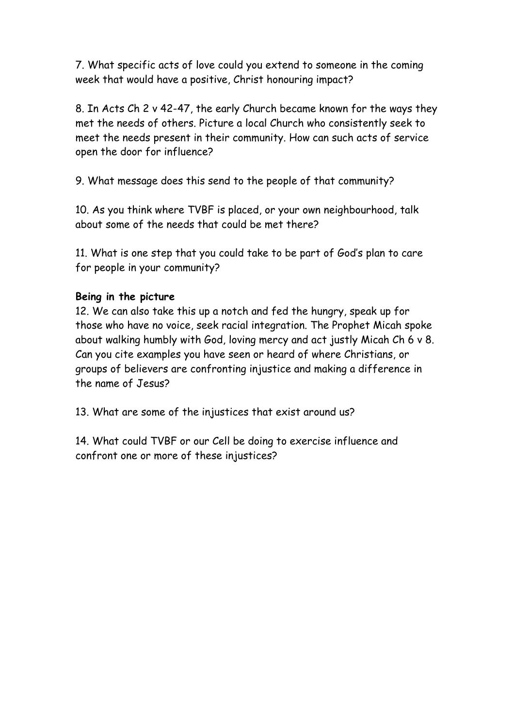7. What specific acts of love could you extend to someone in the coming week that would have a positive, Christ honouring impact?

8. In Acts Ch 2 v 42-47, the early Church became known for the ways they met the needs of others. Picture a local Church who consistently seek to meet the needs present in their community. How can such acts of service open the door for influence?

9. What message does this send to the people of that community?

10. As you think where TVBF is placed, or your own neighbourhood, talk about some of the needs that could be met there?

11. What is one step that you could take to be part of God's plan to care for people in your community?

# **Being in the picture**

12. We can also take this up a notch and fed the hungry, speak up for those who have no voice, seek racial integration. The Prophet Micah spoke about walking humbly with God, loving mercy and act justly Micah Ch 6 v 8. Can you cite examples you have seen or heard of where Christians, or groups of believers are confronting injustice and making a difference in the name of Jesus?

13. What are some of the injustices that exist around us?

14. What could TVBF or our Cell be doing to exercise influence and confront one or more of these injustices?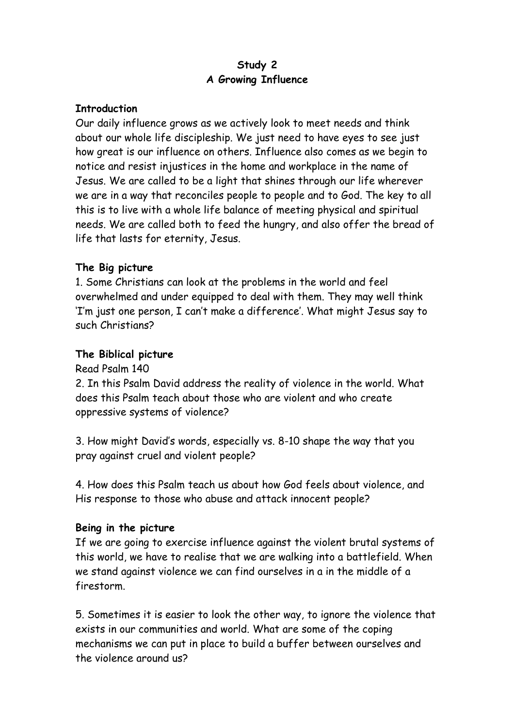# **Study 2 A Growing Influence**

#### **Introduction**

Our daily influence grows as we actively look to meet needs and think about our whole life discipleship. We just need to have eyes to see just how great is our influence on others. Influence also comes as we begin to notice and resist injustices in the home and workplace in the name of Jesus. We are called to be a light that shines through our life wherever we are in a way that reconciles people to people and to God. The key to all this is to live with a whole life balance of meeting physical and spiritual needs. We are called both to feed the hungry, and also offer the bread of life that lasts for eternity, Jesus.

#### **The Big picture**

1. Some Christians can look at the problems in the world and feel overwhelmed and under equipped to deal with them. They may well think 'I'm just one person, I can't make a difference'. What might Jesus say to such Christians?

#### **The Biblical picture**

Read Psalm 140

2. In this Psalm David address the reality of violence in the world. What does this Psalm teach about those who are violent and who create oppressive systems of violence?

3. How might David's words, especially vs. 8-10 shape the way that you pray against cruel and violent people?

4. How does this Psalm teach us about how God feels about violence, and His response to those who abuse and attack innocent people?

#### **Being in the picture**

If we are going to exercise influence against the violent brutal systems of this world, we have to realise that we are walking into a battlefield. When we stand against violence we can find ourselves in a in the middle of a firestorm.

5. Sometimes it is easier to look the other way, to ignore the violence that exists in our communities and world. What are some of the coping mechanisms we can put in place to build a buffer between ourselves and the violence around us?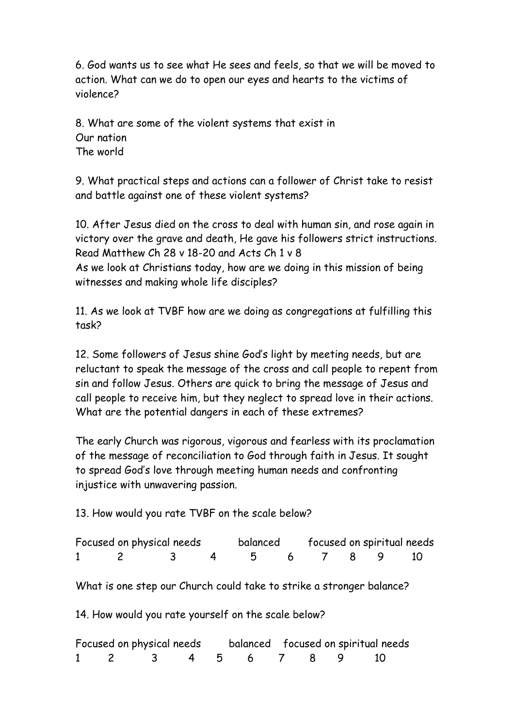6. God wants us to see what He sees and feels, so that we will be moved to action. What can we do to open our eyes and hearts to the victims of violence?

8. What are some of the violent systems that exist in Our nation The world

9. What practical steps and actions can a follower of Christ take to resist and battle against one of these violent systems?

10. After Jesus died on the cross to deal with human sin, and rose again in victory over the grave and death, He gave his followers strict instructions. Read Matthew Ch 28 v 18-20 and Acts Ch 1 v 8 As we look at Christians today, how are we doing in this mission of being witnesses and making whole life disciples?

11. As we look at TVBF how are we doing as congregations at fulfilling this task?

12. Some followers of Jesus shine God's light by meeting needs, but are reluctant to speak the message of the cross and call people to repent from sin and follow Jesus. Others are quick to bring the message of Jesus and call people to receive him, but they neglect to spread love in their actions. What are the potential dangers in each of these extremes?

The early Church was rigorous, vigorous and fearless with its proclamation of the message of reconciliation to God through faith in Jesus. It sought to spread God's love through meeting human needs and confronting injustice with unwavering passion.

13. How would you rate TVBF on the scale below?

| Focused on physical needs |                      |  |  | balanced focused on spiritual needs |  |  |  |
|---------------------------|----------------------|--|--|-------------------------------------|--|--|--|
|                           | 1 2 3 4 5 6 7 8 9 10 |  |  |                                     |  |  |  |

What is one step our Church could take to strike a stronger balance?

14. How would you rate yourself on the scale below?

| Focused on physical needs balanced focused on spiritual needs |  |  |  |  |
|---------------------------------------------------------------|--|--|--|--|
| 1 2 3 4 5 6 7 8 9 10                                          |  |  |  |  |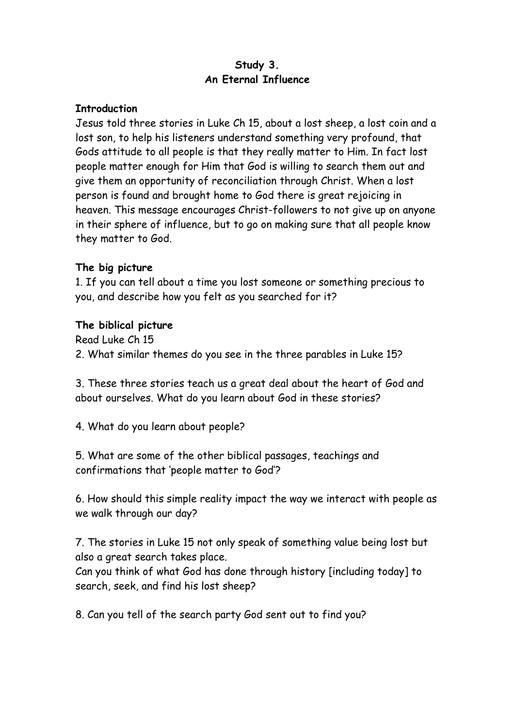# **Study 3. An Eternal Influence**

#### **Introduction**

Jesus told three stories in Luke Ch 15, about a lost sheep, a lost coin and a lost son, to help his listeners understand something very profound, that Gods attitude to all people is that they really matter to Him. In fact lost people matter enough for Him that God is willing to search them out and give them an opportunity of reconciliation through Christ. When a lost person is found and brought home to God there is great rejoicing in heaven. This message encourages Christ-followers to not give up on anyone in their sphere of influence, but to go on making sure that all people know they matter to God.

#### **The big picture**

1. If you can tell about a time you lost someone or something precious to you, and describe how you felt as you searched for it?

#### **The biblical picture**

Read Luke Ch 15 2. What similar themes do you see in the three parables in Luke 15?

3. These three stories teach us a great deal about the heart of God and about ourselves. What do you learn about God in these stories?

4. What do you learn about people?

5. What are some of the other biblical passages, teachings and confirmations that 'people matter to God'?

6. How should this simple reality impact the way we interact with people as we walk through our day?

7. The stories in Luke 15 not only speak of something value being lost but also a great search takes place.

Can you think of what God has done through history [including today] to search, seek, and find his lost sheep?

8. Can you tell of the search party God sent out to find you?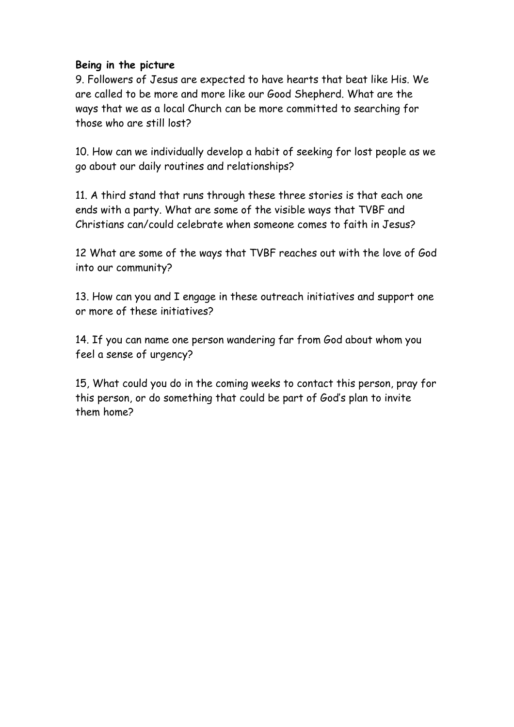### **Being in the picture**

9. Followers of Jesus are expected to have hearts that beat like His. We are called to be more and more like our Good Shepherd. What are the ways that we as a local Church can be more committed to searching for those who are still lost?

10. How can we individually develop a habit of seeking for lost people as we go about our daily routines and relationships?

11. A third stand that runs through these three stories is that each one ends with a party. What are some of the visible ways that TVBF and Christians can/could celebrate when someone comes to faith in Jesus?

12 What are some of the ways that TVBF reaches out with the love of God into our community?

13. How can you and I engage in these outreach initiatives and support one or more of these initiatives?

14. If you can name one person wandering far from God about whom you feel a sense of urgency?

15, What could you do in the coming weeks to contact this person, pray for this person, or do something that could be part of God's plan to invite them home?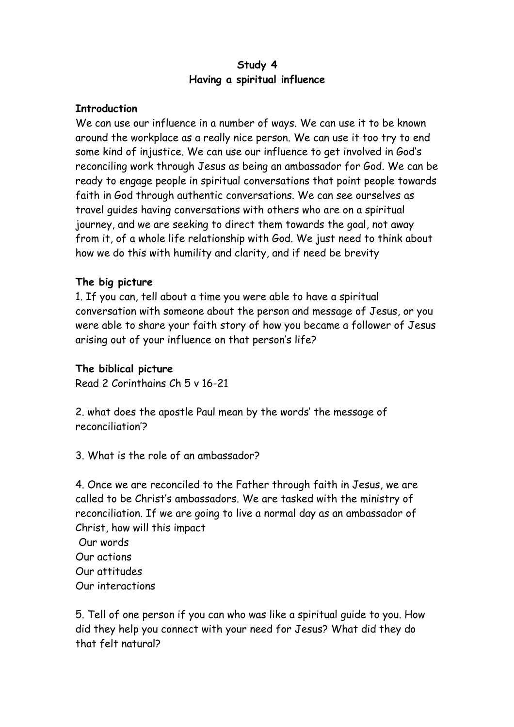# **Study 4 Having a spiritual influence**

### **Introduction**

We can use our influence in a number of ways. We can use it to be known around the workplace as a really nice person. We can use it too try to end some kind of injustice. We can use our influence to get involved in God's reconciling work through Jesus as being an ambassador for God. We can be ready to engage people in spiritual conversations that point people towards faith in God through authentic conversations. We can see ourselves as travel guides having conversations with others who are on a spiritual journey, and we are seeking to direct them towards the goal, not away from it, of a whole life relationship with God. We just need to think about how we do this with humility and clarity, and if need be brevity

#### **The big picture**

1. If you can, tell about a time you were able to have a spiritual conversation with someone about the person and message of Jesus, or you were able to share your faith story of how you became a follower of Jesus arising out of your influence on that person's life?

### **The biblical picture**

Read 2 Corinthains Ch 5 v 16-21

2. what does the apostle Paul mean by the words' the message of reconciliation'?

3. What is the role of an ambassador?

4. Once we are reconciled to the Father through faith in Jesus, we are called to be Christ's ambassadors. We are tasked with the ministry of reconciliation. If we are going to live a normal day as an ambassador of Christ, how will this impact Our words

Our actions Our attitudes Our interactions

5. Tell of one person if you can who was like a spiritual guide to you. How did they help you connect with your need for Jesus? What did they do that felt natural?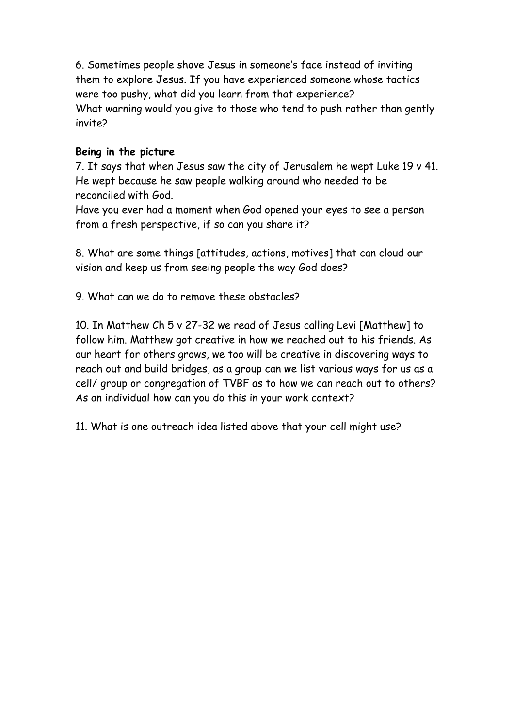6. Sometimes people shove Jesus in someone's face instead of inviting them to explore Jesus. If you have experienced someone whose tactics were too pushy, what did you learn from that experience? What warning would you give to those who tend to push rather than gently invite?

# **Being in the picture**

7. It says that when Jesus saw the city of Jerusalem he wept Luke 19 v 41. He wept because he saw people walking around who needed to be reconciled with God.

Have you ever had a moment when God opened your eyes to see a person from a fresh perspective, if so can you share it?

8. What are some things [attitudes, actions, motives] that can cloud our vision and keep us from seeing people the way God does?

9. What can we do to remove these obstacles?

10. In Matthew Ch 5 v 27-32 we read of Jesus calling Levi [Matthew] to follow him. Matthew got creative in how we reached out to his friends. As our heart for others grows, we too will be creative in discovering ways to reach out and build bridges, as a group can we list various ways for us as a cell/ group or congregation of TVBF as to how we can reach out to others? As an individual how can you do this in your work context?

11. What is one outreach idea listed above that your cell might use?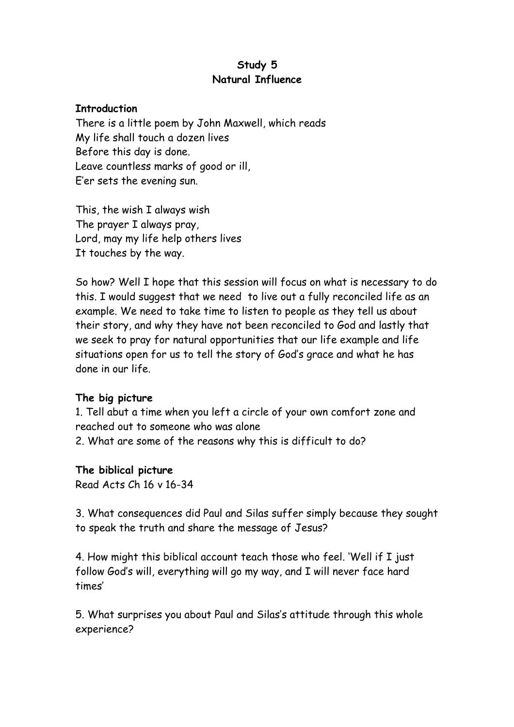# **Study 5 Natural Influence**

#### **Introduction**

There is a little poem by John Maxwell, which reads My life shall touch a dozen lives Before this day is done. Leave countless marks of good or ill, E'er sets the evening sun.

This, the wish I always wish The prayer I always pray, Lord, may my life help others lives It touches by the way.

So how? Well I hope that this session will focus on what is necessary to do this. I would suggest that we need to live out a fully reconciled life as an example. We need to take time to listen to people as they tell us about their story, and why they have not been reconciled to God and lastly that we seek to pray for natural opportunities that our life example and life situations open for us to tell the story of God's grace and what he has done in our life.

### **The big picture**

1. Tell abut a time when you left a circle of your own comfort zone and reached out to someone who was alone 2. What are some of the reasons why this is difficult to do?

**The biblical picture**

Read Acts Ch 16 v 16-34

3. What consequences did Paul and Silas suffer simply because they sought to speak the truth and share the message of Jesus?

4. How might this biblical account teach those who feel. 'Well if I just follow God's will, everything will go my way, and I will never face hard times'

5. What surprises you about Paul and Silas's attitude through this whole experience?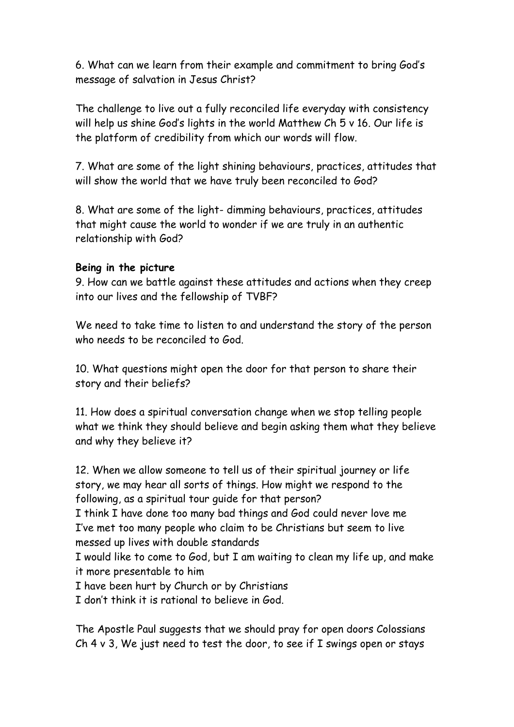6. What can we learn from their example and commitment to bring God's message of salvation in Jesus Christ?

The challenge to live out a fully reconciled life everyday with consistency will help us shine God's lights in the world Matthew Ch 5 v 16. Our life is the platform of credibility from which our words will flow.

7. What are some of the light shining behaviours, practices, attitudes that will show the world that we have truly been reconciled to God?

8. What are some of the light- dimming behaviours, practices, attitudes that might cause the world to wonder if we are truly in an authentic relationship with God?

# **Being in the picture**

9. How can we battle against these attitudes and actions when they creep into our lives and the fellowship of TVBF?

We need to take time to listen to and understand the story of the person who needs to be reconciled to God.

10. What questions might open the door for that person to share their story and their beliefs?

11. How does a spiritual conversation change when we stop telling people what we think they should believe and begin asking them what they believe and why they believe it?

12. When we allow someone to tell us of their spiritual journey or life story, we may hear all sorts of things. How might we respond to the following, as a spiritual tour guide for that person?

I think I have done too many bad things and God could never love me I've met too many people who claim to be Christians but seem to live messed up lives with double standards

I would like to come to God, but I am waiting to clean my life up, and make it more presentable to him

I have been hurt by Church or by Christians

I don't think it is rational to believe in God.

The Apostle Paul suggests that we should pray for open doors Colossians Ch  $4 \vee 3$ , We just need to test the door, to see if I swings open or stays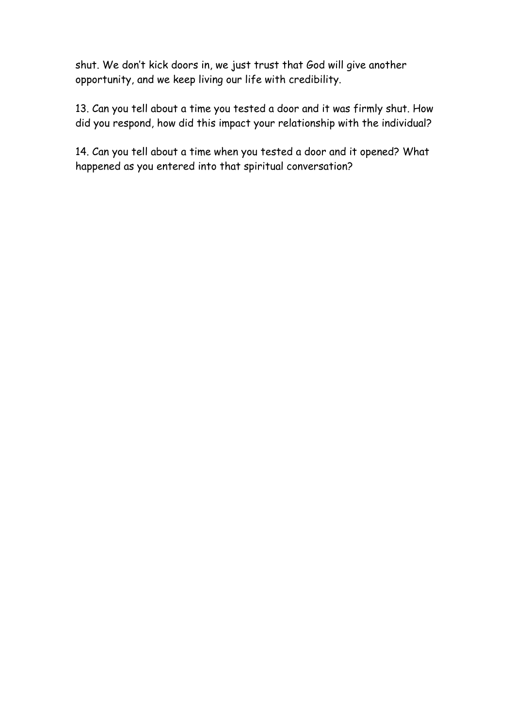shut. We don't kick doors in, we just trust that God will give another opportunity, and we keep living our life with credibility.

13. Can you tell about a time you tested a door and it was firmly shut. How did you respond, how did this impact your relationship with the individual?

14. Can you tell about a time when you tested a door and it opened? What happened as you entered into that spiritual conversation?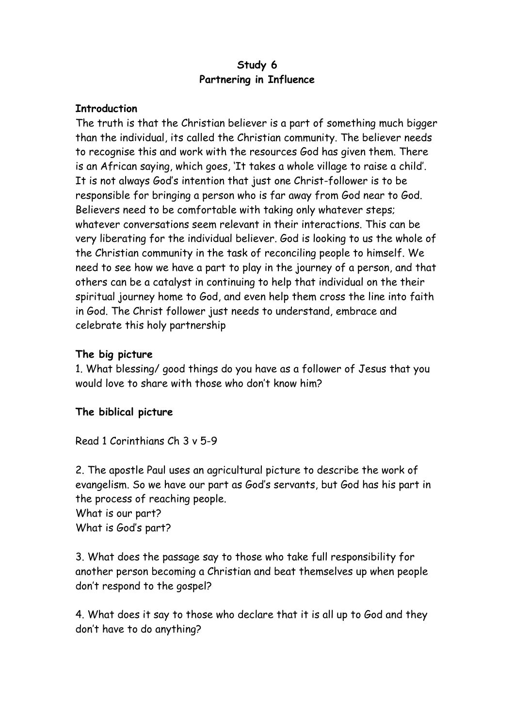# **Study 6 Partnering in Influence**

#### **Introduction**

The truth is that the Christian believer is a part of something much bigger than the individual, its called the Christian community. The believer needs to recognise this and work with the resources God has given them. There is an African saying, which goes, 'It takes a whole village to raise a child'. It is not always God's intention that just one Christ-follower is to be responsible for bringing a person who is far away from God near to God. Believers need to be comfortable with taking only whatever steps; whatever conversations seem relevant in their interactions. This can be very liberating for the individual believer. God is looking to us the whole of the Christian community in the task of reconciling people to himself. We need to see how we have a part to play in the journey of a person, and that others can be a catalyst in continuing to help that individual on the their spiritual journey home to God, and even help them cross the line into faith in God. The Christ follower just needs to understand, embrace and celebrate this holy partnership

### **The big picture**

1. What blessing/ good things do you have as a follower of Jesus that you would love to share with those who don't know him?

### **The biblical picture**

Read 1 Corinthians Ch 3 v 5-9

2. The apostle Paul uses an agricultural picture to describe the work of evangelism. So we have our part as God's servants, but God has his part in the process of reaching people.

What is our part? What is God's part?

3. What does the passage say to those who take full responsibility for another person becoming a Christian and beat themselves up when people don't respond to the gospel?

4. What does it say to those who declare that it is all up to God and they don't have to do anything?